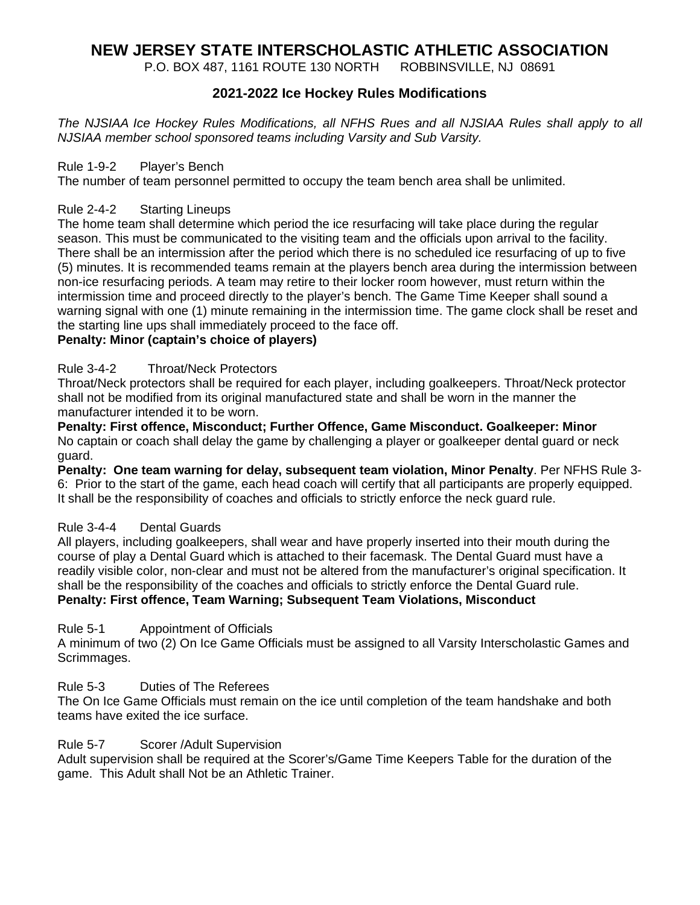# **NEW JERSEY STATE INTERSCHOLASTIC ATHLETIC ASSOCIATION**

P.O. BOX 487, 1161 ROUTE 130 NORTH ROBBINSVILLE, NJ 08691

#### **2021-2022 Ice Hockey Rules Modifications**

*The NJSIAA Ice Hockey Rules Modifications, all NFHS Rues and all NJSIAA Rules shall apply to all NJSIAA member school sponsored teams including Varsity and Sub Varsity.*

#### Rule 1-9-2 Player's Bench

The number of team personnel permitted to occupy the team bench area shall be unlimited.

#### Rule 2-4-2 Starting Lineups

The home team shall determine which period the ice resurfacing will take place during the regular season. This must be communicated to the visiting team and the officials upon arrival to the facility. There shall be an intermission after the period which there is no scheduled ice resurfacing of up to five (5) minutes. It is recommended teams remain at the players bench area during the intermission between non-ice resurfacing periods. A team may retire to their locker room however, must return within the intermission time and proceed directly to the player's bench. The Game Time Keeper shall sound a warning signal with one (1) minute remaining in the intermission time. The game clock shall be reset and the starting line ups shall immediately proceed to the face off.

#### **Penalty: Minor (captain's choice of players)**

#### Rule 3-4-2 Throat/Neck Protectors

Throat/Neck protectors shall be required for each player, including goalkeepers. Throat/Neck protector shall not be modified from its original manufactured state and shall be worn in the manner the manufacturer intended it to be worn.

**Penalty: First offence, Misconduct; Further Offence, Game Misconduct. Goalkeeper: Minor** No captain or coach shall delay the game by challenging a player or goalkeeper dental guard or neck guard.

**Penalty: One team warning for delay, subsequent team violation, Minor Penalty**. Per NFHS Rule 3- 6: Prior to the start of the game, each head coach will certify that all participants are properly equipped. It shall be the responsibility of coaches and officials to strictly enforce the neck guard rule.

#### Rule 3-4-4 Dental Guards

All players, including goalkeepers, shall wear and have properly inserted into their mouth during the course of play a Dental Guard which is attached to their facemask. The Dental Guard must have a readily visible color, non-clear and must not be altered from the manufacturer's original specification. It shall be the responsibility of the coaches and officials to strictly enforce the Dental Guard rule. **Penalty: First offence, Team Warning; Subsequent Team Violations, Misconduct**

#### Rule 5-1 Appointment of Officials

A minimum of two (2) On Ice Game Officials must be assigned to all Varsity Interscholastic Games and Scrimmages.

#### Rule 5-3 Duties of The Referees

The On Ice Game Officials must remain on the ice until completion of the team handshake and both teams have exited the ice surface.

#### Rule 5-7 Scorer /Adult Supervision

Adult supervision shall be required at the Scorer's/Game Time Keepers Table for the duration of the game. This Adult shall Not be an Athletic Trainer.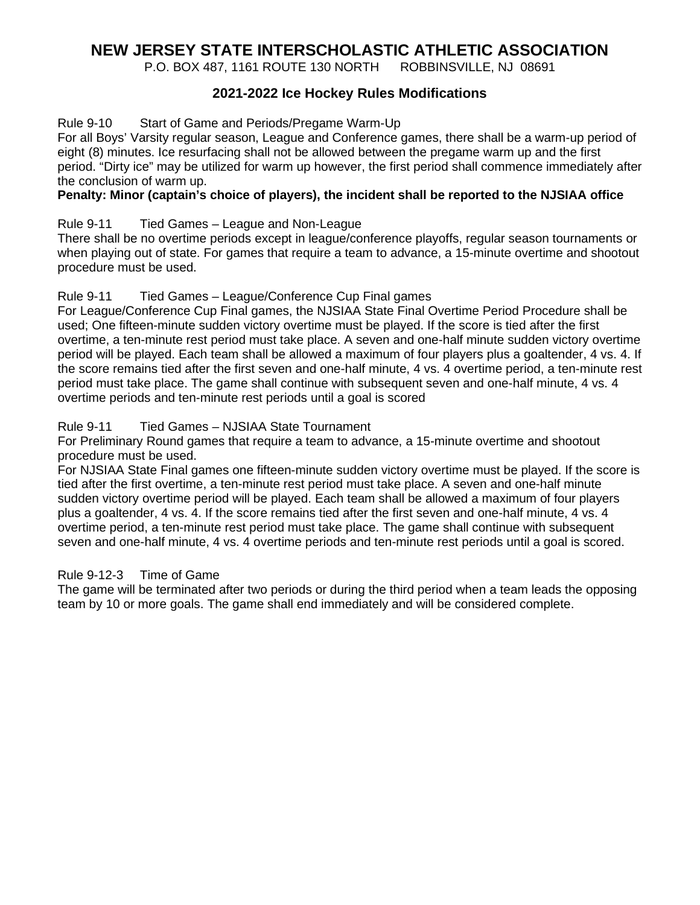# **NEW JERSEY STATE INTERSCHOLASTIC ATHLETIC ASSOCIATION**

P.O. BOX 487, 1161 ROUTE 130 NORTH ROBBINSVILLE, NJ 08691

#### **2021-2022 Ice Hockey Rules Modifications**

#### Rule 9-10 Start of Game and Periods/Pregame Warm-Up

For all Boys' Varsity regular season, League and Conference games, there shall be a warm-up period of eight (8) minutes. Ice resurfacing shall not be allowed between the pregame warm up and the first period. "Dirty ice" may be utilized for warm up however, the first period shall commence immediately after the conclusion of warm up.

#### **Penalty: Minor (captain's choice of players), the incident shall be reported to the NJSIAA office**

#### Rule 9-11 Tied Games – League and Non-League

There shall be no overtime periods except in league/conference playoffs, regular season tournaments or when playing out of state. For games that require a team to advance, a 15-minute overtime and shootout procedure must be used.

#### Rule 9-11 Tied Games – League/Conference Cup Final games

For League/Conference Cup Final games, the NJSIAA State Final Overtime Period Procedure shall be used; One fifteen-minute sudden victory overtime must be played. If the score is tied after the first overtime, a ten-minute rest period must take place. A seven and one-half minute sudden victory overtime period will be played. Each team shall be allowed a maximum of four players plus a goaltender, 4 vs. 4. If the score remains tied after the first seven and one-half minute, 4 vs. 4 overtime period, a ten-minute rest period must take place. The game shall continue with subsequent seven and one-half minute, 4 vs. 4 overtime periods and ten-minute rest periods until a goal is scored

#### Rule 9-11 Tied Games – NJSIAA State Tournament

For Preliminary Round games that require a team to advance, a 15-minute overtime and shootout procedure must be used.

For NJSIAA State Final games one fifteen-minute sudden victory overtime must be played. If the score is tied after the first overtime, a ten-minute rest period must take place. A seven and one-half minute sudden victory overtime period will be played. Each team shall be allowed a maximum of four players plus a goaltender, 4 vs. 4. If the score remains tied after the first seven and one-half minute, 4 vs. 4 overtime period, a ten-minute rest period must take place. The game shall continue with subsequent seven and one-half minute, 4 vs. 4 overtime periods and ten-minute rest periods until a goal is scored.

#### Rule 9-12-3 Time of Game

The game will be terminated after two periods or during the third period when a team leads the opposing team by 10 or more goals. The game shall end immediately and will be considered complete.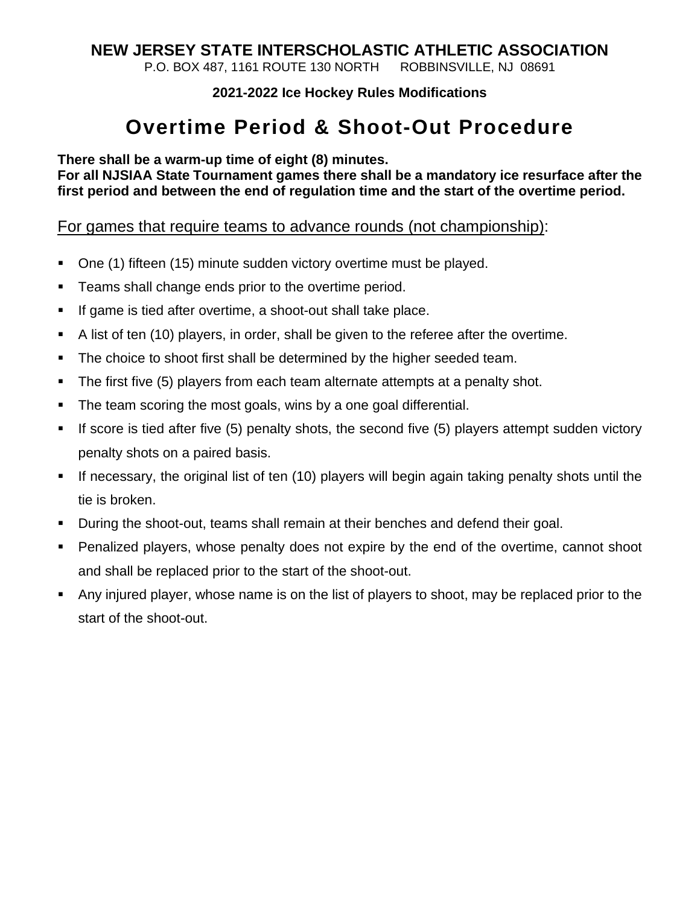# **NEW JERSEY STATE INTERSCHOLASTIC ATHLETIC ASSOCIATION**

P.O. BOX 487, 1161 ROUTE 130 NORTH ROBBINSVILLE, NJ 08691

**2021-2022 Ice Hockey Rules Modifications**

# **Overtime Period & Shoot-Out Procedure**

**There shall be a warm-up time of eight (8) minutes.**

**For all NJSIAA State Tournament games there shall be a mandatory ice resurface after the first period and between the end of regulation time and the start of the overtime period.**

For games that require teams to advance rounds (not championship):

- One (1) fifteen (15) minute sudden victory overtime must be played.
- **Teams shall change ends prior to the overtime period.**
- If game is tied after overtime, a shoot-out shall take place.
- A list of ten (10) players, in order, shall be given to the referee after the overtime.
- The choice to shoot first shall be determined by the higher seeded team.
- The first five (5) players from each team alternate attempts at a penalty shot.
- The team scoring the most goals, wins by a one goal differential.
- If score is tied after five (5) penalty shots, the second five (5) players attempt sudden victory penalty shots on a paired basis.
- If necessary, the original list of ten (10) players will begin again taking penalty shots until the tie is broken.
- **During the shoot-out, teams shall remain at their benches and defend their goal.**
- Penalized players, whose penalty does not expire by the end of the overtime, cannot shoot and shall be replaced prior to the start of the shoot-out.
- Any injured player, whose name is on the list of players to shoot, may be replaced prior to the start of the shoot-out.